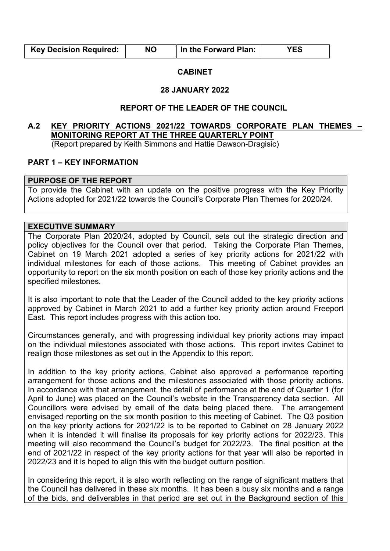| <b>Key Decision Required:</b> | <b>NO</b> | In the Forward Plan: | <b>YES</b> |
|-------------------------------|-----------|----------------------|------------|
|                               |           |                      |            |

#### **CABINET**

#### **28 JANUARY 2022**

## **REPORT OF THE LEADER OF THE COUNCIL**

# **A.2 KEY PRIORITY ACTIONS 2021/22 TOWARDS CORPORATE PLAN THEMES – MONITORING REPORT AT THE THREE QUARTERLY POINT**

(Report prepared by Keith Simmons and Hattie Dawson-Dragisic)

## **PART 1 – KEY INFORMATION**

#### **PURPOSE OF THE REPORT**

To provide the Cabinet with an update on the positive progress with the Key Priority Actions adopted for 2021/22 towards the Council's Corporate Plan Themes for 2020/24.

#### **EXECUTIVE SUMMARY**

The Corporate Plan 2020/24, adopted by Council, sets out the strategic direction and policy objectives for the Council over that period. Taking the Corporate Plan Themes, Cabinet on 19 March 2021 adopted a series of key priority actions for 2021/22 with individual milestones for each of those actions. This meeting of Cabinet provides an opportunity to report on the six month position on each of those key priority actions and the specified milestones.

It is also important to note that the Leader of the Council added to the key priority actions approved by Cabinet in March 2021 to add a further key priority action around Freeport East. This report includes progress with this action too.

Circumstances generally, and with progressing individual key priority actions may impact on the individual milestones associated with those actions. This report invites Cabinet to realign those milestones as set out in the Appendix to this report.

In addition to the key priority actions, Cabinet also approved a performance reporting arrangement for those actions and the milestones associated with those priority actions. In accordance with that arrangement, the detail of performance at the end of Quarter 1 (for April to June) was placed on the Council's website in the Transparency data section. All Councillors were advised by email of the data being placed there. The arrangement envisaged reporting on the six month position to this meeting of Cabinet. The Q3 position on the key priority actions for 2021/22 is to be reported to Cabinet on 28 January 2022 when it is intended it will finalise its proposals for key priority actions for 2022/23. This meeting will also recommend the Council's budget for 2022/23. The final position at the end of 2021/22 in respect of the key priority actions for that year will also be reported in 2022/23 and it is hoped to align this with the budget outturn position.

In considering this report, it is also worth reflecting on the range of significant matters that the Council has delivered in these six months. It has been a busy six months and a range of the bids, and deliverables in that period are set out in the Background section of this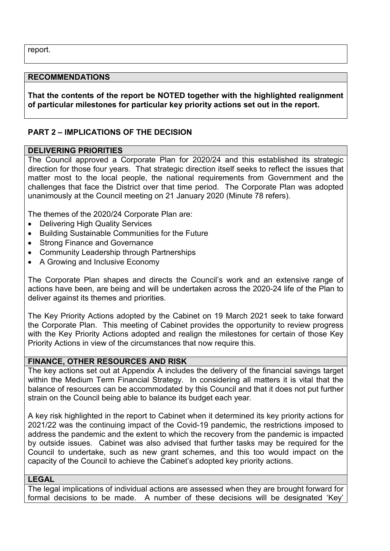report.

#### **RECOMMENDATIONS**

**That the contents of the report be NOTED together with the highlighted realignment of particular milestones for particular key priority actions set out in the report.** 

## **PART 2 – IMPLICATIONS OF THE DECISION**

### **DELIVERING PRIORITIES**

The Council approved a Corporate Plan for 2020/24 and this established its strategic direction for those four years. That strategic direction itself seeks to reflect the issues that matter most to the local people, the national requirements from Government and the challenges that face the District over that time period. The Corporate Plan was adopted unanimously at the Council meeting on 21 January 2020 (Minute 78 refers).

The themes of the 2020/24 Corporate Plan are:

- Delivering High Quality Services
- Building Sustainable Communities for the Future
- Strong Finance and Governance
- Community Leadership through Partnerships
- A Growing and Inclusive Economy

The Corporate Plan shapes and directs the Council's work and an extensive range of actions have been, are being and will be undertaken across the 2020-24 life of the Plan to deliver against its themes and priorities.

The Key Priority Actions adopted by the Cabinet on 19 March 2021 seek to take forward the Corporate Plan. This meeting of Cabinet provides the opportunity to review progress with the Key Priority Actions adopted and realign the milestones for certain of those Key Priority Actions in view of the circumstances that now require this.

### **FINANCE, OTHER RESOURCES AND RISK**

The key actions set out at Appendix A includes the delivery of the financial savings target within the Medium Term Financial Strategy. In considering all matters it is vital that the balance of resources can be accommodated by this Council and that it does not put further strain on the Council being able to balance its budget each year.

A key risk highlighted in the report to Cabinet when it determined its key priority actions for 2021/22 was the continuing impact of the Covid-19 pandemic, the restrictions imposed to address the pandemic and the extent to which the recovery from the pandemic is impacted by outside issues. Cabinet was also advised that further tasks may be required for the Council to undertake, such as new grant schemes, and this too would impact on the capacity of the Council to achieve the Cabinet's adopted key priority actions.

#### **LEGAL**

The legal implications of individual actions are assessed when they are brought forward for formal decisions to be made. A number of these decisions will be designated 'Key'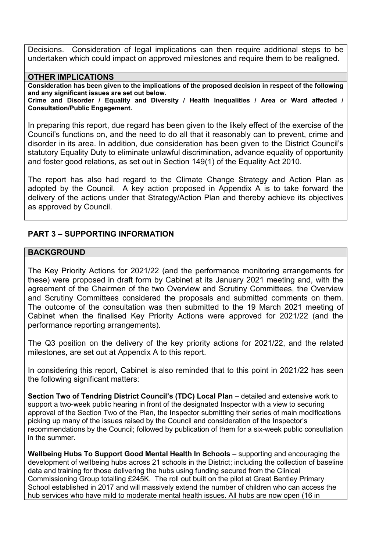Decisions. Consideration of legal implications can then require additional steps to be undertaken which could impact on approved milestones and require them to be realigned.

#### **OTHER IMPLICATIONS**

**Consideration has been given to the implications of the proposed decision in respect of the following and any significant issues are set out below.** 

**Crime and Disorder / Equality and Diversity / Health Inequalities / Area or Ward affected / Consultation/Public Engagement.** 

In preparing this report, due regard has been given to the likely effect of the exercise of the Council's functions on, and the need to do all that it reasonably can to prevent, crime and disorder in its area. In addition, due consideration has been given to the District Council's statutory Equality Duty to eliminate unlawful discrimination, advance equality of opportunity and foster good relations, as set out in Section 149(1) of the Equality Act 2010.

The report has also had regard to the Climate Change Strategy and Action Plan as adopted by the Council. A key action proposed in Appendix A is to take forward the delivery of the actions under that Strategy/Action Plan and thereby achieve its objectives as approved by Council.

## **PART 3 – SUPPORTING INFORMATION**

### **BACKGROUND**

The Key Priority Actions for 2021/22 (and the performance monitoring arrangements for these) were proposed in draft form by Cabinet at its January 2021 meeting and, with the agreement of the Chairmen of the two Overview and Scrutiny Committees, the Overview and Scrutiny Committees considered the proposals and submitted comments on them. The outcome of the consultation was then submitted to the 19 March 2021 meeting of Cabinet when the finalised Key Priority Actions were approved for 2021/22 (and the performance reporting arrangements).

The Q3 position on the delivery of the key priority actions for 2021/22, and the related milestones, are set out at Appendix A to this report.

In considering this report, Cabinet is also reminded that to this point in 2021/22 has seen the following significant matters:

**Section Two of Tendring District Council's (TDC) Local Plan – detailed and extensive work to** support a two-week public hearing in front of the designated Inspector with a view to securing approval of the Section Two of the Plan, the Inspector submitting their series of main modifications picking up many of the issues raised by the Council and consideration of the Inspector's recommendations by the Council; followed by publication of them for a six-week public consultation in the summer.

**Wellbeing Hubs To Support Good Mental Health In Schools – supporting and encouraging the** development of wellbeing hubs across 21 schools in the District; including the collection of baseline data and training for those delivering the hubs using funding secured from the Clinical Commissioning Group totalling £245K. The roll out built on the pilot at Great Bentley Primary School established in 2017 and will massively extend the number of children who can access the hub services who have mild to moderate mental health issues. All hubs are now open (16 in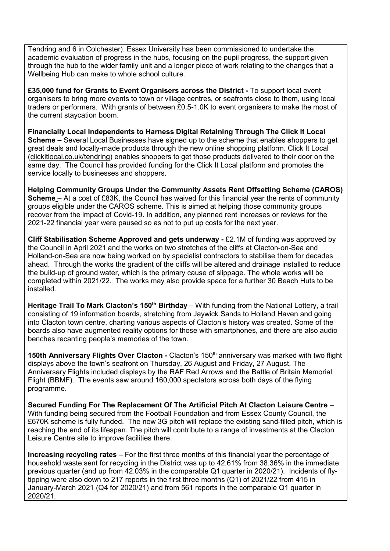Tendring and 6 in Colchester). Essex University has been commissioned to undertake the academic evaluation of progress in the hubs, focusing on the pupil progress, the support given through the hub to the wider family unit and a longer piece of work relating to the changes that a Wellbeing Hub can make to whole school culture.

**£35,000 fund for Grants to Event Organisers across the District -** To support local event organisers to bring more events to town or village centres, or seafronts close to them, using local traders or performers. With grants of between £0.5-1.0K to event organisers to make the most of the current staycation boom.

**Financially Local Independents to Harness Digital Retaining Through The Click It Local Scheme –** Several Local Businesses have signed up to the scheme that enables **s**hoppers to get great deals and locally-made products through the new online shopping platform. Click It Local [\(clickitlocal.co.uk/tendring\)](http://www.clickitlocal.co.uk/tendring) enables shoppers to get those products delivered to their door on the same day. The Council has provided funding for the Click It Local platform and promotes the service locally to businesses and shoppers.

**Helping Community Groups Under the Community Assets Rent Offsetting Scheme (CAROS) Scheme** – At a cost of £83K, the Council has waived for this financial year the rents of community groups eligible under the CAROS scheme. This is aimed at helping those community groups recover from the impact of Covid-19. In addition, any planned rent increases or reviews for the 2021-22 financial year were paused so as not to put up costs for the next year.

**Cliff Stabilisation Scheme Approved and gets underway -** £2.1M of funding was approved by the Council in April 2021 and the works on two stretches of the cliffs at Clacton-on-Sea and Holland-on-Sea are now being worked on by specialist contractors to stabilise them for decades ahead. Through the works the gradient of the cliffs will be altered and drainage installed to reduce the build-up of ground water, which is the primary cause of slippage. The whole works will be completed within 2021/22. The works may also provide space for a further 30 Beach Huts to be installed.

**Heritage Trail To Mark Clacton's 150th Birthday** – With funding from the National Lottery, a trail consisting of 19 information boards, stretching from Jaywick Sands to Holland Haven and going into Clacton town centre, charting various aspects of Clacton's history was created. Some of the boards also have augmented reality options for those with smartphones, and there are also audio benches recanting people's memories of the town.

**150th Anniversary Flights Over Clacton -** Clacton's 150th anniversary was marked with two flight displays above the town's seafront on Thursday, 26 August and Friday, 27 August. The Anniversary Flights included displays by the RAF Red Arrows and the Battle of Britain Memorial Flight (BBMF). The events saw around 160,000 spectators across both days of the flying programme.

**Secured Funding For The Replacement Of The Artificial Pitch At Clacton Leisure Centre** – With funding being secured from the Football Foundation and from Essex County Council, the £670K scheme is fully funded. The new 3G pitch will replace the existing sand-filled pitch, which is reaching the end of its lifespan. The pitch will contribute to a range of investments at the Clacton Leisure Centre site to improve facilities there.

**Increasing recycling rates** – For the first three months of this financial year the percentage of household waste sent for recycling in the District was up to 42.61% from 38.36% in the immediate previous quarter (and up from 42.03% in the comparable Q1 quarter in 2020/21). Incidents of flytipping were also down to 217 reports in the first three months (Q1) of 2021/22 from 415 in January-March 2021 (Q4 for 2020/21) and from 561 reports in the comparable Q1 quarter in 2020/21.